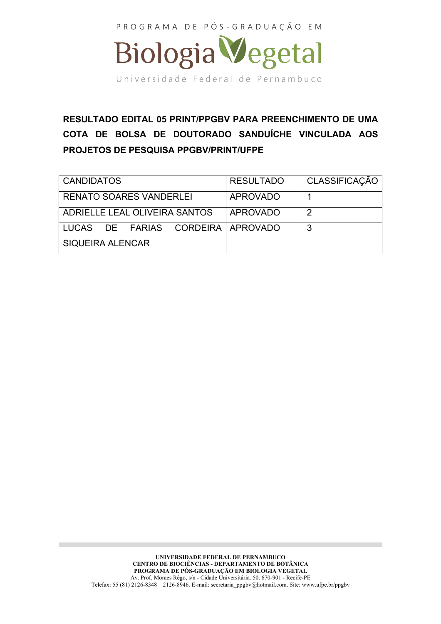

**RESULTADO EDITAL 05 PRINT/PPGBV PARA PREENCHIMENTO DE UMA COTA DE BOLSA DE DOUTORADO SANDUÍCHE VINCULADA AOS PROJETOS DE PESQUISA PPGBV/PRINT/UFPE**

| <b>CANDIDATOS</b>                 | <b>RESULTADO</b> | CLASSIFICAÇÃO  |
|-----------------------------------|------------------|----------------|
| <b>RENATO SOARES VANDERLEI</b>    | <b>APROVADO</b>  |                |
| ADRIELLE LEAL OLIVEIRA SANTOS     | <b>APROVADO</b>  | $\overline{2}$ |
| LUCAS DE FARIAS CORDEIRA APROVADO |                  | 3              |
| SIQUEIRA ALENCAR                  |                  |                |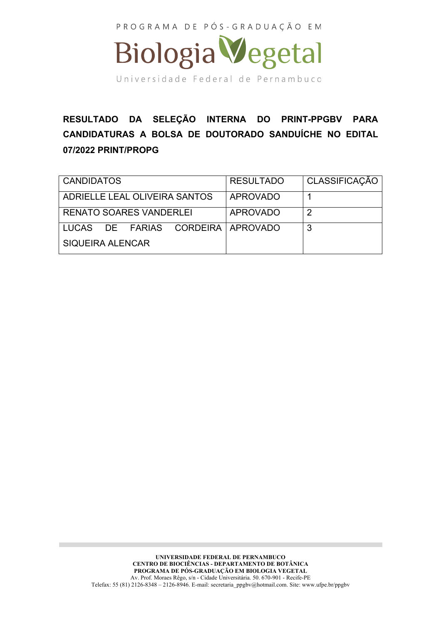

**RESULTADO DA SELEÇÃO INTERNA DO PRINT-PPGBV PARA CANDIDATURAS A BOLSA DE DOUTORADO SANDUÍCHE NO EDITAL 07/2022 PRINT/PROPG**

| <b>CANDIDATOS</b>                 | <b>RESULTADO</b> | CLASSIFICAÇÃO |
|-----------------------------------|------------------|---------------|
| ADRIELLE LEAL OLIVEIRA SANTOS     | <b>APROVADO</b>  |               |
| <b>RENATO SOARES VANDERLEI</b>    | <b>APROVADO</b>  | 2             |
| LUCAS DE FARIAS CORDEIRA APROVADO |                  | 3             |
| <b>SIQUEIRA ALENCAR</b>           |                  |               |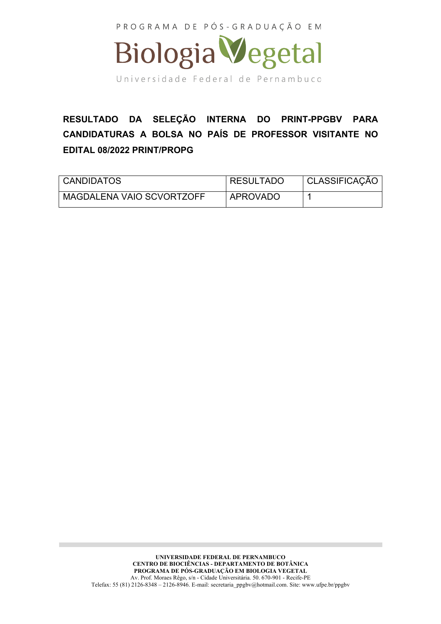

## **RESULTADO DA SELEÇÃO INTERNA DO PRINT-PPGBV PARA CANDIDATURAS A BOLSA NO PAÍS DE PROFESSOR VISITANTE NO EDITAL 08/2022 PRINT/PROPG**

| <b>CANDIDATOS</b>         | <b>RESULTADO</b> | CLASSIFICAÇÃO |
|---------------------------|------------------|---------------|
| MAGDALENA VAIO SCVORTZOFF | APROVADO         |               |